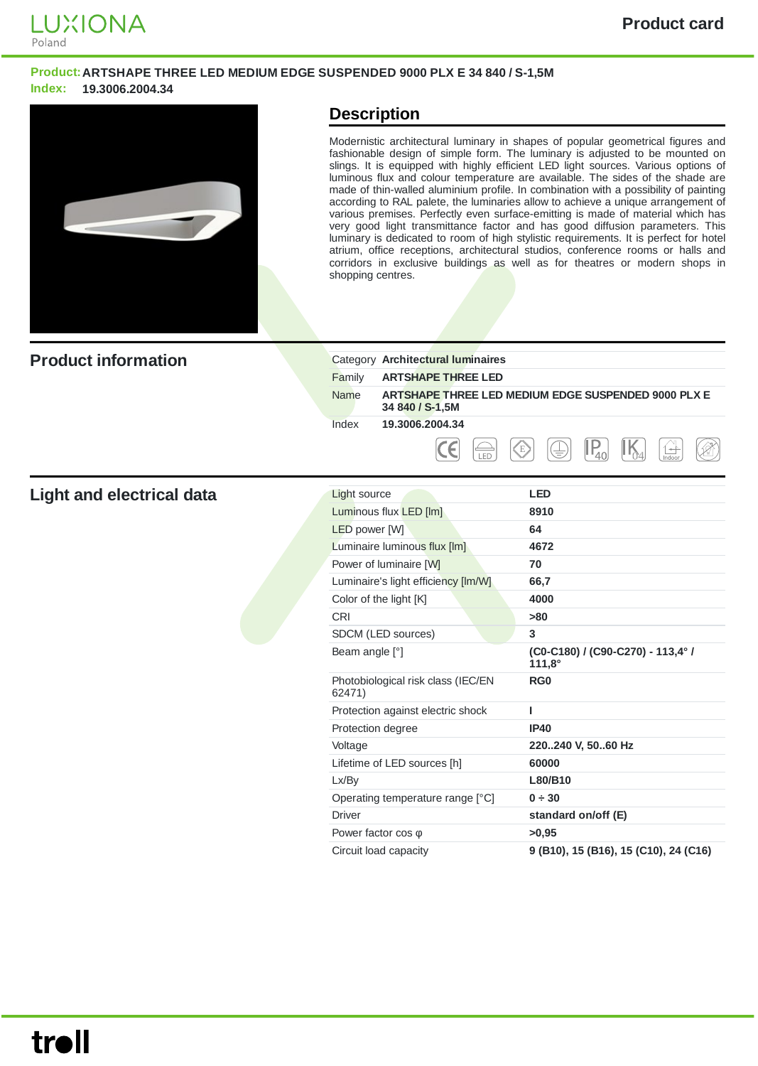

#### **Product:ARTSHAPE THREE LED MEDIUM EDGE SUSPENDED 9000 PLX E 34 840 / S-1,5M Index: 19.3006.2004.34**



### **Description**

Modernistic architectural luminary in shapes of popular geometrical figures and fashionable design of simple form. The luminary is adjusted to be mounted on slings. It is equipped with highly efficient LED light sources. Various options of luminous flux and colour temperature are available. The sides of the shade are made of thin-walled aluminium profile. In combination with a possibility of painting according to RAL palete, the luminaries allow to achieve a unique arrangement of various premises. Perfectly even surface-emitting is made of material which has very good light transmittance factor and has good diffusion parameters. This luminary is dedicated to room of high stylistic requirements. It is perfect for hotel atrium, office receptions, architectural studios, conference rooms or halls and corridors in exclusive buildings as well as for theatres or modern shops in shopping centres.

| <b>Product information</b> |        | Category Architectural luminaires                                      |
|----------------------------|--------|------------------------------------------------------------------------|
|                            | Family | <b>ARTSHAPE THREE LED</b>                                              |
|                            | Name   | ARTSHAPE THREE LED MEDIUM EDGE SUSPENDED 9000 PLX E<br>34 840 / S-1,5M |
|                            | Index  | 19.3006.2004.34                                                        |
|                            |        | Ρ<br>E)<br>۰<br>$+$<br>くき<br>Indoor                                    |

#### **Light** and electrical data

| Light source                                 | <b>LED</b>                                         |
|----------------------------------------------|----------------------------------------------------|
| Luminous flux LED [lm]                       | 8910                                               |
| <b>LED</b> power [W]                         | 64                                                 |
| Luminaire luminous flux [lm]                 | 4672                                               |
| Power of luminaire [W]                       | 70                                                 |
| Luminaire's light efficiency [Im/W]          | 66,7                                               |
| Color of the light [K]                       | 4000                                               |
| CRI                                          | >80                                                |
| SDCM (LED sources)                           | 3                                                  |
| Beam angle [°]                               | (C0-C180) / (C90-C270) - 113,4° /<br>$111,8^\circ$ |
| Photobiological risk class (IEC/EN<br>62471) | RG <sub>0</sub>                                    |
| Protection against electric shock            | ı                                                  |
| Protection degree                            | <b>IP40</b>                                        |
| Voltage                                      | 220240 V, 5060 Hz                                  |
| Lifetime of LED sources [h]                  | 60000                                              |
| Lx/By                                        | L80/B10                                            |
| Operating temperature range [°C]             | 0 ÷ 30                                             |
| <b>Driver</b>                                | standard on/off (E)                                |
| Power factor $cos \varphi$                   | >0.95                                              |
| Circuit load capacity                        | 9 (B10), 15 (B16), 15 (C10), 24 (C16)              |